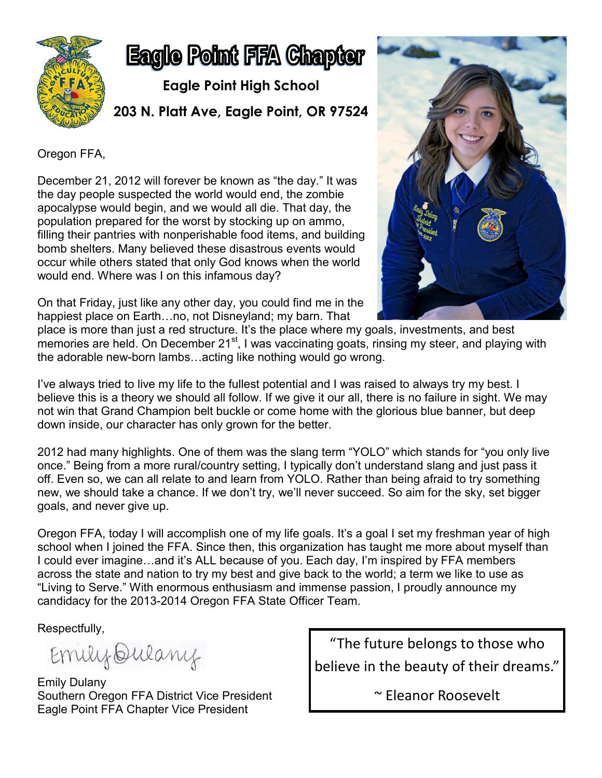

## **Eagle Point FFA Chapter**

**Eagle Point High School 203 N. Platt Ave, Eagle Point, OR 97524**

Oregon FFA,

December 21, 2012 will forever be known as "the day." It was the day people suspected the world would end, the zombie apocalypse would begin, and we would all die. That day, the population prepared for the worst by stocking up on ammo, filling their pantries with nonperishable food items, and building bomb shelters. Many believed these disastrous events would occur while others stated that only God knows when the world would end. Where was I on this infamous day?

On that Friday, just like any other day, you could find me in the happiest place on Earth…no, not Disneyland; my barn. That



place is more than just a red structure. It's the place where my goals, investments, and best memories are held. On December 21<sup>st</sup>, I was vaccinating goats, rinsing my steer, and playing with the adorable new-born lambs…acting like nothing would go wrong.

I've always tried to live my life to the fullest potential and I was raised to always try my best. I believe this is a theory we should all follow. If we give it our all, there is no failure in sight. We may not win that Grand Champion belt buckle or come home with the glorious blue banner, but deep down inside, our character has only grown for the better.

2012 had many highlights. One of them was the slang term "YOLO" which stands for "you only live once." Being from a more rural/country setting, I typically don't understand slang and just pass it off. Even so, we can all relate to and learn from YOLO. Rather than being afraid to try something new, we should take a chance. If we don't try, we'll never succeed. So aim for the sky, set bigger goals, and never give up.

Oregon FFA, today I will accomplish one of my life goals. It's a goal I set my freshman year of high school when I joined the FFA. Since then, this organization has taught me more about myself than I could ever imagine…and it's ALL because of you. Each day, I'm inspired by FFA members across the state and nation to try my best and give back to the world; a term we like to use as "Living to Serve." With enormous enthusiasm and immense passion, I proudly announce my candidacy for the 2013-2014 Oregon FFA State Officer Team.

Respectfully,

Emily Qulany

Emily Dulany Southern Oregon FFA District Vice President Eagle Point FFA Chapter Vice President

"The future belongs to those who believe in the beauty of their dreams."

~ Eleanor Roosevelt